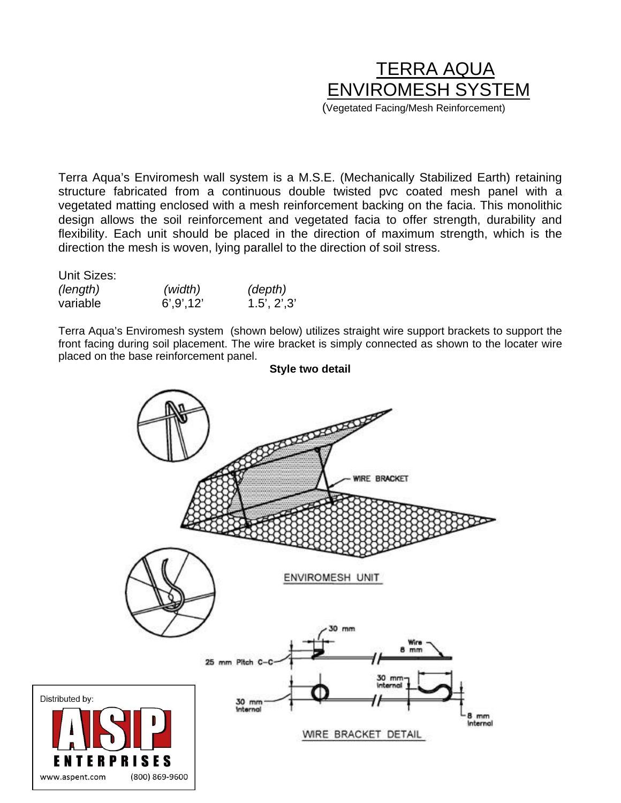# TERRA AQUA ENVIROMESH SYSTEM (Vegetated Facing/Mesh Reinforcement)

Terra Aqua's Enviromesh wall system is a M.S.E. (Mechanically Stabilized Earth) retaining structure fabricated from a continuous double twisted pvc coated mesh panel with a vegetated matting enclosed with a mesh reinforcement backing on the facia. This monolithic design allows the soil reinforcement and vegetated facia to offer strength, durability and flexibility. Each unit should be placed in the direction of maximum strength, which is the direction the mesh is woven, lying parallel to the direction of soil stress.

Unit Sizes:

| (length) | (width)     | (depth)     |
|----------|-------------|-------------|
| variable | 6', 9', 12' | 1.5', 2',3' |

Terra Aqua's Enviromesh system (shown below) utilizes straight wire support brackets to support the front facing during soil placement. The wire bracket is simply connected as shown to the locater wire placed on the base reinforcement panel.

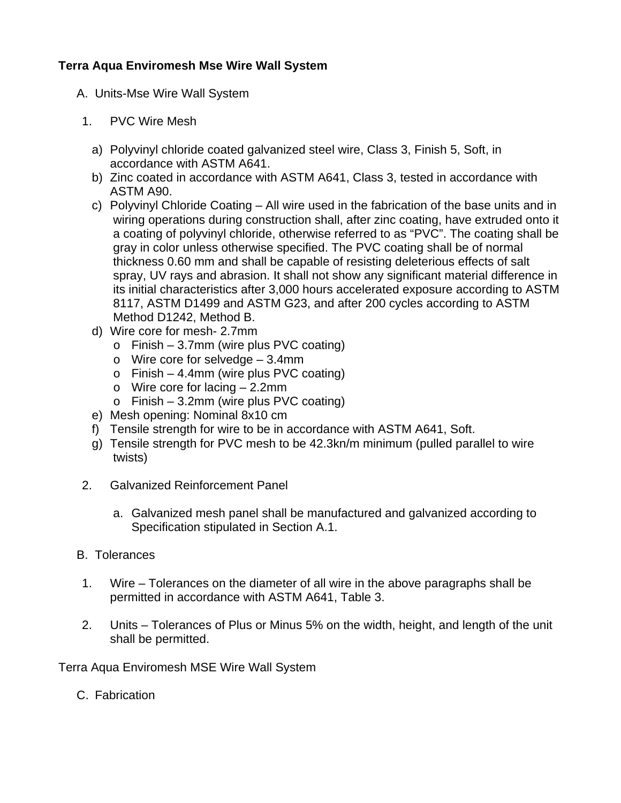# **Terra Aqua Enviromesh Mse Wire Wall System**

- A. Units-Mse Wire Wall System
- 1. PVC Wire Mesh
	- a) Polyvinyl chloride coated galvanized steel wire, Class 3, Finish 5, Soft, in accordance with ASTM A641.
	- b) Zinc coated in accordance with ASTM A641, Class 3, tested in accordance with ASTM A90.
	- c) Polyvinyl Chloride Coating All wire used in the fabrication of the base units and in wiring operations during construction shall, after zinc coating, have extruded onto it a coating of polyvinyl chloride, otherwise referred to as "PVC". The coating shall be gray in color unless otherwise specified. The PVC coating shall be of normal thickness 0.60 mm and shall be capable of resisting deleterious effects of salt spray, UV rays and abrasion. It shall not show any significant material difference in its initial characteristics after 3,000 hours accelerated exposure according to ASTM 8117, ASTM D1499 and ASTM G23, and after 200 cycles according to ASTM Method D1242, Method B.
	- d) Wire core for mesh- 2.7mm
		- o Finish 3.7mm (wire plus PVC coating)
		- o Wire core for selvedge 3.4mm
		- $\circ$  Finish 4.4mm (wire plus PVC coating)
		- o Wire core for lacing 2.2mm
		- o Finish 3.2mm (wire plus PVC coating)
	- e) Mesh opening: Nominal 8x10 cm
	- f) Tensile strength for wire to be in accordance with ASTM A641, Soft.
	- g) Tensile strength for PVC mesh to be 42.3kn/m minimum (pulled parallel to wire twists)
- 2. Galvanized Reinforcement Panel
	- a. Galvanized mesh panel shall be manufactured and galvanized according to Specification stipulated in Section A.1.
- B. Tolerances
- 1. Wire Tolerances on the diameter of all wire in the above paragraphs shall be permitted in accordance with ASTM A641, Table 3.
- 2. Units Tolerances of Plus or Minus 5% on the width, height, and length of the unit shall be permitted.

Terra Aqua Enviromesh MSE Wire Wall System

C. Fabrication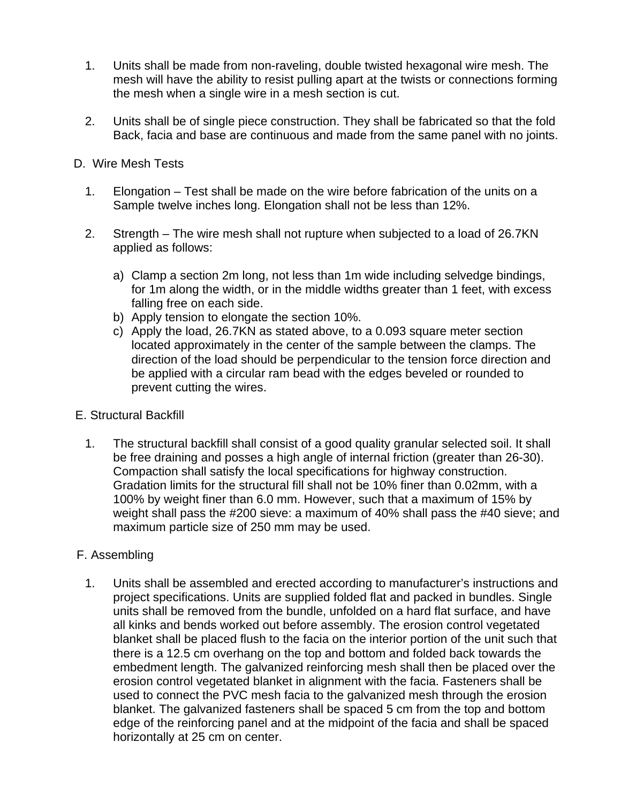- 1. Units shall be made from non-raveling, double twisted hexagonal wire mesh. The mesh will have the ability to resist pulling apart at the twists or connections forming the mesh when a single wire in a mesh section is cut.
- 2. Units shall be of single piece construction. They shall be fabricated so that the fold Back, facia and base are continuous and made from the same panel with no joints.

## D. Wire Mesh Tests

- 1. Elongation Test shall be made on the wire before fabrication of the units on a Sample twelve inches long. Elongation shall not be less than 12%.
- 2. Strength The wire mesh shall not rupture when subjected to a load of 26.7KN applied as follows:
	- a) Clamp a section 2m long, not less than 1m wide including selvedge bindings, for 1m along the width, or in the middle widths greater than 1 feet, with excess falling free on each side.
	- b) Apply tension to elongate the section 10%.
	- c) Apply the load, 26.7KN as stated above, to a 0.093 square meter section located approximately in the center of the sample between the clamps. The direction of the load should be perpendicular to the tension force direction and be applied with a circular ram bead with the edges beveled or rounded to prevent cutting the wires.

#### E. Structural Backfill

1. The structural backfill shall consist of a good quality granular selected soil. It shall be free draining and posses a high angle of internal friction (greater than 26-30). Compaction shall satisfy the local specifications for highway construction. Gradation limits for the structural fill shall not be 10% finer than 0.02mm, with a 100% by weight finer than 6.0 mm. However, such that a maximum of 15% by weight shall pass the #200 sieve: a maximum of 40% shall pass the #40 sieve; and maximum particle size of 250 mm may be used.

## F. Assembling

1. Units shall be assembled and erected according to manufacturer's instructions and project specifications. Units are supplied folded flat and packed in bundles. Single units shall be removed from the bundle, unfolded on a hard flat surface, and have all kinks and bends worked out before assembly. The erosion control vegetated blanket shall be placed flush to the facia on the interior portion of the unit such that there is a 12.5 cm overhang on the top and bottom and folded back towards the embedment length. The galvanized reinforcing mesh shall then be placed over the erosion control vegetated blanket in alignment with the facia. Fasteners shall be used to connect the PVC mesh facia to the galvanized mesh through the erosion blanket. The galvanized fasteners shall be spaced 5 cm from the top and bottom edge of the reinforcing panel and at the midpoint of the facia and shall be spaced horizontally at 25 cm on center.